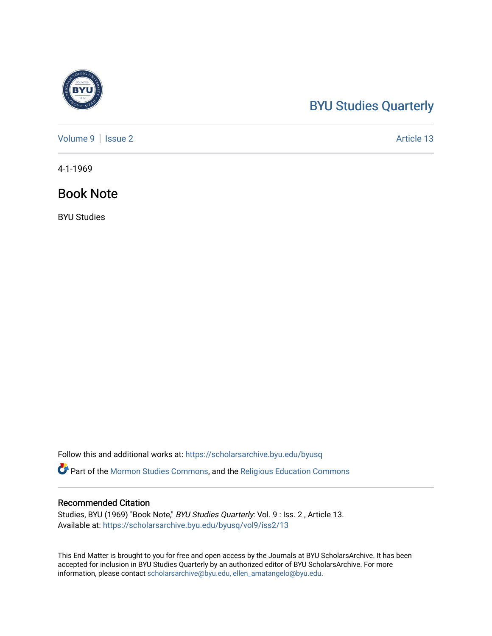## [BYU Studies Quarterly](https://scholarsarchive.byu.edu/byusq)

[Volume 9](https://scholarsarchive.byu.edu/byusq/vol9) | [Issue 2](https://scholarsarchive.byu.edu/byusq/vol9/iss2) Article 13

4-1-1969

### Book Note

BYU Studies

Follow this and additional works at: [https://scholarsarchive.byu.edu/byusq](https://scholarsarchive.byu.edu/byusq?utm_source=scholarsarchive.byu.edu%2Fbyusq%2Fvol9%2Fiss2%2F13&utm_medium=PDF&utm_campaign=PDFCoverPages) 

Part of the [Mormon Studies Commons](http://network.bepress.com/hgg/discipline/1360?utm_source=scholarsarchive.byu.edu%2Fbyusq%2Fvol9%2Fiss2%2F13&utm_medium=PDF&utm_campaign=PDFCoverPages), and the [Religious Education Commons](http://network.bepress.com/hgg/discipline/1414?utm_source=scholarsarchive.byu.edu%2Fbyusq%2Fvol9%2Fiss2%2F13&utm_medium=PDF&utm_campaign=PDFCoverPages) 

### Recommended Citation

Studies, BYU (1969) "Book Note," BYU Studies Quarterly: Vol. 9 : Iss. 2 , Article 13. Available at: [https://scholarsarchive.byu.edu/byusq/vol9/iss2/13](https://scholarsarchive.byu.edu/byusq/vol9/iss2/13?utm_source=scholarsarchive.byu.edu%2Fbyusq%2Fvol9%2Fiss2%2F13&utm_medium=PDF&utm_campaign=PDFCoverPages)

This End Matter is brought to you for free and open access by the Journals at BYU ScholarsArchive. It has been accepted for inclusion in BYU Studies Quarterly by an authorized editor of BYU ScholarsArchive. For more information, please contact [scholarsarchive@byu.edu, ellen\\_amatangelo@byu.edu.](mailto:scholarsarchive@byu.edu,%20ellen_amatangelo@byu.edu)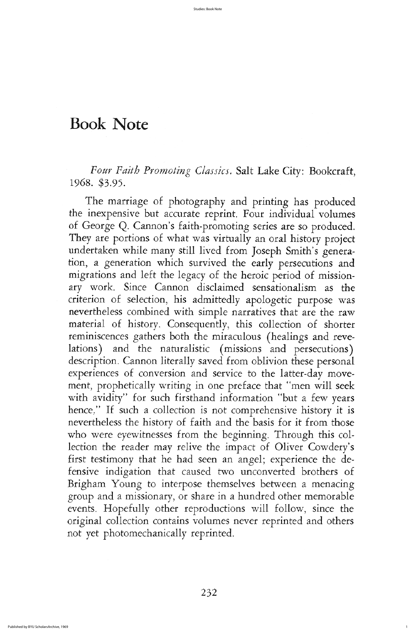The marriage of photography and printing has produced the inexpensive but accurate reprint. Four individual volumes of George Q. Cannon's faith-promoting series are so produced. They are portions of what was virtually an oral history project undertaken while many still lived from Joseph Smith's generation, a generation which survived the early persecutions and migrations and left the legacy of the heroic period of missionary work. Since Cannon disclaimed sensationalism as the criterion of selection, his admittedly apologetic purpose was nevertheless combined with simple narratives that are the raw material of history. Consequently, this collection of shorter reminiscences gathers both the miraculous (healings and revelations) and the naturalistic (missions and persecutions) description. Cannon literally saved from oblivion these personal experiences of conversion and service to the latter-day movement, prophetically writing in one preface that "men will seek with avidity" for such firsthand information "but a few years hence." If such a collection is not comprehensive history it is nevertheless the history of faith and the basis for it from those who were eyewitnesses from the beginning. Through this collection the reader may relive the impact of Oliver Cowdery's first testimony that he had seen an angel; experience the defensive indigation that caused two unconverted brothers of brigham young to interpose themselves between a menacing group and a missionary, or share in a hundred other memorable events. Hopefully other reproductions will follow, since the original collection contains volumes never reprinted and others not yet photomechanically reprinted

1

# Book Note

Four Faith Promoting Classics. Salt Lake City: Bookcraft, 1968. \$3.95.